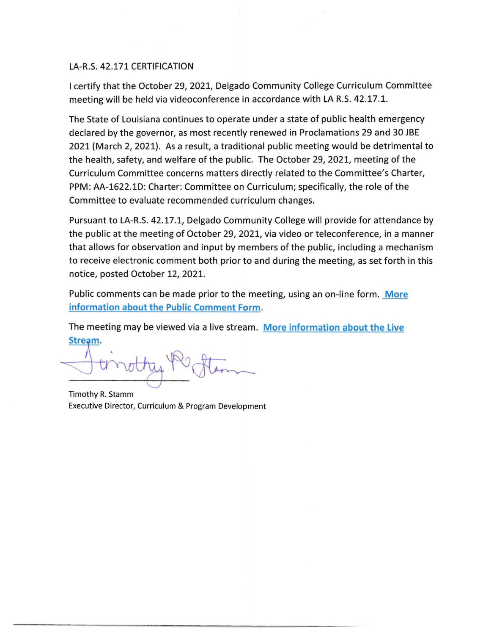### LA-R.S. 42.171 CERTIFICATION

I certify that the October 29, 2021, Delgado Community College Curriculum Committee meeting will be held via videoconference in accordance with LA R.S. 42.17.1.

The State of Louisiana continues to operate under a state of public health emergency declared by the governor, as most recently renewed in Proclamations 29 and 30 JBE 2021 (March 2, 2021). As a result, a traditional public meeting would be detrimental to the health, safety, and welfare of the public. The October 29, 2021, meeting of the Curriculum Committee concerns matters directly related to the Committee's Charter, PPM: AA-1622.lD: Charter: Committee on Curriculum; specifically, the role of the Committee to evaluate recommended curriculum changes.

Pursuant to LA-R.S. 42.17.1, Delgado Community College will provide for attendance by the public at the meeting of October 29, 2021, via video or teleconference, in a manner that allows for observation and input by members of the public, including a mechanism to receive electronic comment both prior to and during the meeting, as set forth in this notice, posted October 12, 2021.

Public comments can be made prior to the meeting, using an on-line form. **More information about the Public Comment Form.** 

The meeting may be viewed via a live stream. **More information about the Live**  Stream.

Timothy R. Stamm Executive Director, Curriculum & Program Development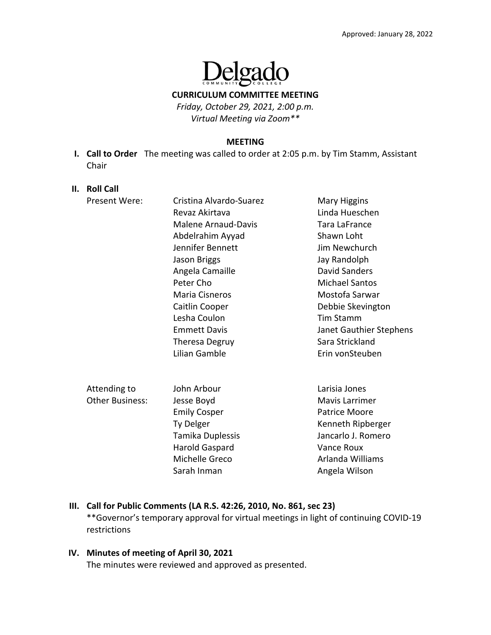

**CURRICULUM COMMITTEE MEETING**

*Friday, October 29, 2021, 2:00 p.m. Virtual Meeting via Zoom\*\**

#### **MEETING**

**I. Call to Order** The meeting was called to order at 2:05 p.m. by Tim Stamm, Assistant Chair

#### **II. Roll Call**

| Present Were:          | Cristina Alvardo-Suarez    | Mary Higgins            |
|------------------------|----------------------------|-------------------------|
|                        | Revaz Akirtava             | Linda Hueschen          |
|                        | <b>Malene Arnaud-Davis</b> | Tara LaFrance           |
|                        | Abdelrahim Ayyad           | Shawn Loht              |
|                        | Jennifer Bennett           | Jim Newchurch           |
|                        | Jason Briggs               | Jay Randolph            |
|                        | Angela Camaille            | David Sanders           |
|                        | Peter Cho                  | <b>Michael Santos</b>   |
|                        | Maria Cisneros             | Mostofa Sarwar          |
|                        | Caitlin Cooper             | Debbie Skevington       |
|                        | Lesha Coulon               | Tim Stamm               |
|                        | <b>Emmett Davis</b>        | Janet Gauthier Stephens |
|                        | <b>Theresa Degruy</b>      | Sara Strickland         |
|                        | Lilian Gamble              | Erin vonSteuben         |
|                        |                            |                         |
|                        |                            |                         |
| Attending to           | John Arbour                | Larisia Jones           |
| <b>Other Business:</b> | Jesse Boyd                 | Mavis Larrimer          |
|                        | <b>Emily Cosper</b>        | Patrice Moore           |

 Ty Delger Kenneth Ripberger Tamika Duplessis Jancarlo J. Romero Harold Gaspard **Vance Roux** Michelle Greco **Arlanda Williams** Sarah Inman Angela Wilson

# **III. Call for Public Comments (LA R.S. 42:26, 2010, No. 861, sec 23)** \*\*Governor's temporary approval for virtual meetings in light of continuing COVID‐19 restrictions

**IV. Minutes of meeting of April 30, 2021**  The minutes were reviewed and approved as presented.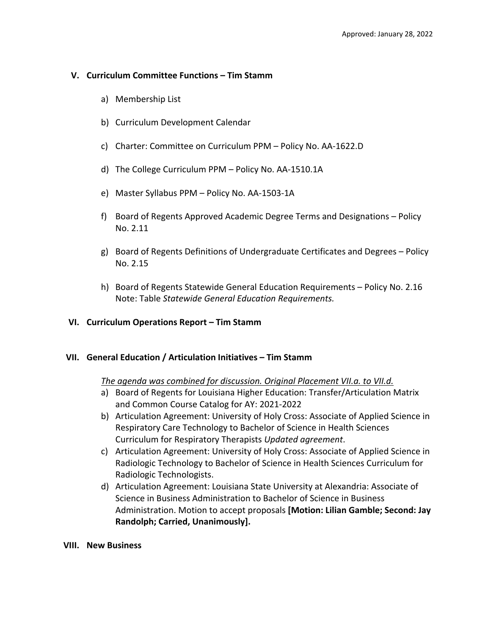### **V. Curriculum Committee Functions – Tim Stamm**

- a) Membership List
- b) Curriculum Development Calendar
- c) Charter: Committee on Curriculum PPM Policy No. AA‐1622.D
- d) The College Curriculum PPM Policy No. AA‐1510.1A
- e) Master Syllabus PPM Policy No. AA‐1503‐1A
- f) Board of Regents Approved Academic Degree Terms and Designations Policy No. 2.11
- g) Board of Regents Definitions of Undergraduate Certificates and Degrees Policy No. 2.15
- h) Board of Regents Statewide General Education Requirements Policy No. 2.16 Note: Table *Statewide General Education Requirements.*

### **VI. Curriculum Operations Report – Tim Stamm**

### **VII. General Education / Articulation Initiatives – Tim Stamm**

### *The agenda was combined for discussion. Original Placement VII.a. to VII.d.*

- a) Board of Regents for Louisiana Higher Education: Transfer/Articulation Matrix and Common Course Catalog for AY: 2021‐2022
- b) Articulation Agreement: University of Holy Cross: Associate of Applied Science in Respiratory Care Technology to Bachelor of Science in Health Sciences Curriculum for Respiratory Therapists *Updated agreement*.
- c) Articulation Agreement: University of Holy Cross: Associate of Applied Science in Radiologic Technology to Bachelor of Science in Health Sciences Curriculum for Radiologic Technologists.
- d) Articulation Agreement: Louisiana State University at Alexandria: Associate of Science in Business Administration to Bachelor of Science in Business Administration. Motion to accept proposals **[Motion: Lilian Gamble; Second: Jay Randolph; Carried, Unanimously].**

### **VIII. New Business**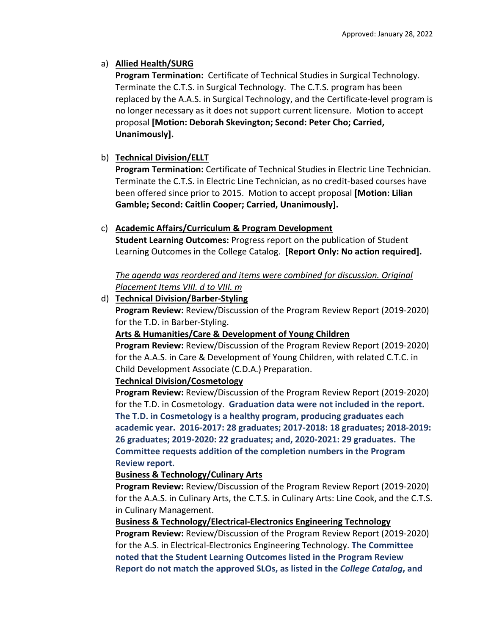# a) **Allied Health/SURG**

**Program Termination:** Certificate of Technical Studies in Surgical Technology. Terminate the C.T.S. in Surgical Technology. The C.T.S. program has been replaced by the A.A.S. in Surgical Technology, and the Certificate‐level program is no longer necessary as it does not support current licensure. Motion to accept proposal **[Motion: Deborah Skevington; Second: Peter Cho; Carried, Unanimously].**

# b) **Technical Division/ELLT**

**Program Termination:** Certificate of Technical Studies in Electric Line Technician. Terminate the C.T.S. in Electric Line Technician, as no credit‐based courses have been offered since prior to 2015. Motion to accept proposal **[Motion: Lilian Gamble; Second: Caitlin Cooper; Carried, Unanimously].**

# c) **Academic Affairs/Curriculum & Program Development**

**Student Learning Outcomes:** Progress report on the publication of Student Learning Outcomes in the College Catalog. **[Report Only: No action required].**

*The agenda was reordered and items were combined for discussion. Original Placement Items VIII. d to VIII. m*

# d) **Technical Division/Barber‐Styling**

**Program Review:** Review/Discussion of the Program Review Report (2019‐2020) for the T.D. in Barber‐Styling.

## **Arts & Humanities/Care & Development of Young Children**

**Program Review:** Review/Discussion of the Program Review Report (2019‐2020) for the A.A.S. in Care & Development of Young Children, with related C.T.C. in Child Development Associate (C.D.A.) Preparation.

## **Technical Division/Cosmetology**

**Program Review:** Review/Discussion of the Program Review Report (2019‐2020) for the T.D. in Cosmetology. **Graduation data were not included in the report. The T.D. in Cosmetology is a healthy program, producing graduates each academic year. 2016‐2017: 28 graduates; 2017‐2018: 18 graduates; 2018‐2019: 26 graduates; 2019‐2020: 22 graduates; and, 2020‐2021: 29 graduates. The Committee requests addition of the completion numbers in the Program Review report.**

## **Business & Technology/Culinary Arts**

**Program Review:** Review/Discussion of the Program Review Report (2019‐2020) for the A.A.S. in Culinary Arts, the C.T.S. in Culinary Arts: Line Cook, and the C.T.S. in Culinary Management.

**Business & Technology/Electrical‐Electronics Engineering Technology Program Review:** Review/Discussion of the Program Review Report (2019‐2020) for the A.S. in Electrical‐Electronics Engineering Technology. **The Committee noted that the Student Learning Outcomes listed in the Program Review Report do not match the approved SLOs, as listed in the** *College Catalog***, and**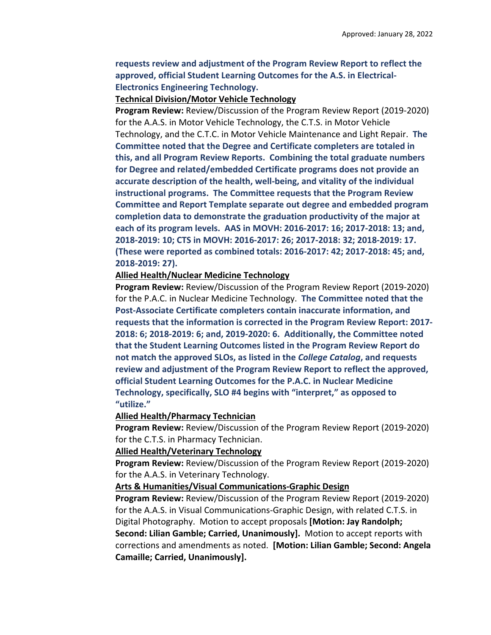### **requests review and adjustment of the Program Review Report to reflect the approved, official Student Learning Outcomes for the A.S. in Electrical‐ Electronics Engineering Technology.**

#### **Technical Division/Motor Vehicle Technology**

**Program Review:** Review/Discussion of the Program Review Report (2019‐2020) for the A.A.S. in Motor Vehicle Technology, the C.T.S. in Motor Vehicle Technology, and the C.T.C. in Motor Vehicle Maintenance and Light Repair. **The Committee noted that the Degree and Certificate completers are totaled in this, and all Program Review Reports. Combining the total graduate numbers for Degree and related/embedded Certificate programs does not provide an accurate description of the health, well‐being, and vitality of the individual instructional programs. The Committee requests that the Program Review Committee and Report Template separate out degree and embedded program completion data to demonstrate the graduation productivity of the major at each of its program levels. AAS in MOVH: 2016‐2017: 16; 2017‐2018: 13; and, 2018‐2019: 10; CTS in MOVH: 2016‐2017: 26; 2017‐2018: 32; 2018‐2019: 17. (These were reported as combined totals: 2016‐2017: 42; 2017‐2018: 45; and, 2018‐2019: 27).** 

#### **Allied Health/Nuclear Medicine Technology**

**Program Review:** Review/Discussion of the Program Review Report (2019‐2020) for the P.A.C. in Nuclear Medicine Technology. **The Committee noted that the Post‐Associate Certificate completers contain inaccurate information, and requests that the information is corrected in the Program Review Report: 2017‐ 2018: 6; 2018‐2019: 6; and, 2019‐2020: 6. Additionally, the Committee noted that the Student Learning Outcomes listed in the Program Review Report do not match the approved SLOs, as listed in the** *College Catalog***, and requests review and adjustment of the Program Review Report to reflect the approved, official Student Learning Outcomes for the P.A.C. in Nuclear Medicine Technology, specifically, SLO #4 begins with "interpret," as opposed to "utilize."** 

#### **Allied Health/Pharmacy Technician**

**Program Review:** Review/Discussion of the Program Review Report (2019‐2020) for the C.T.S. in Pharmacy Technician.

#### **Allied Health/Veterinary Technology**

**Program Review:** Review/Discussion of the Program Review Report (2019‐2020) for the A.A.S. in Veterinary Technology.

#### **Arts & Humanities/Visual Communications‐Graphic Design**

**Program Review:** Review/Discussion of the Program Review Report (2019‐2020) for the A.A.S. in Visual Communications‐Graphic Design, with related C.T.S. in Digital Photography. Motion to accept proposals **[Motion: Jay Randolph; Second: Lilian Gamble; Carried, Unanimously].** Motion to accept reports with corrections and amendments as noted. **[Motion: Lilian Gamble; Second: Angela Camaille; Carried, Unanimously].**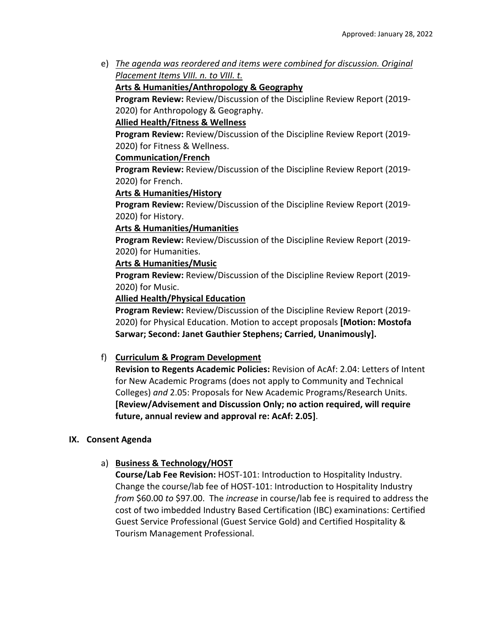e) *The agenda was reordered and items were combined for discussion. Original Placement Items VIII. n. to VIII. t.* 

## **Arts & Humanities/Anthropology & Geography**

**Program Review:** Review/Discussion of the Discipline Review Report (2019‐ 2020) for Anthropology & Geography.

# **Allied Health/Fitness & Wellness**

**Program Review:** Review/Discussion of the Discipline Review Report (2019‐ 2020) for Fitness & Wellness.

### **Communication/French**

**Program Review:** Review/Discussion of the Discipline Review Report (2019‐ 2020) for French.

### **Arts & Humanities/History**

**Program Review:** Review/Discussion of the Discipline Review Report (2019‐ 2020) for History.

### **Arts & Humanities/Humanities**

**Program Review:** Review/Discussion of the Discipline Review Report (2019‐ 2020) for Humanities.

### **Arts & Humanities/Music**

**Program Review:** Review/Discussion of the Discipline Review Report (2019‐ 2020) for Music.

**Allied Health/Physical Education**

**Program Review:** Review/Discussion of the Discipline Review Report (2019‐ 2020) for Physical Education. Motion to accept proposals **[Motion: Mostofa Sarwar; Second: Janet Gauthier Stephens; Carried, Unanimously].**

## f) **Curriculum & Program Development**

**Revision to Regents Academic Policies:** Revision of AcAf: 2.04: Letters of Intent for New Academic Programs (does not apply to Community and Technical Colleges) *and* 2.05: Proposals for New Academic Programs/Research Units. **[Review/Advisement and Discussion Only; no action required, will require future, annual review and approval re: AcAf: 2.05]**.

## **IX. Consent Agenda**

## a) **Business & Technology/HOST**

**Course/Lab Fee Revision:** HOST‐101: Introduction to Hospitality Industry. Change the course/lab fee of HOST‐101: Introduction to Hospitality Industry *from* \$60.00 *to* \$97.00. The *increase* in course/lab fee is required to address the cost of two imbedded Industry Based Certification (IBC) examinations: Certified Guest Service Professional (Guest Service Gold) and Certified Hospitality & Tourism Management Professional.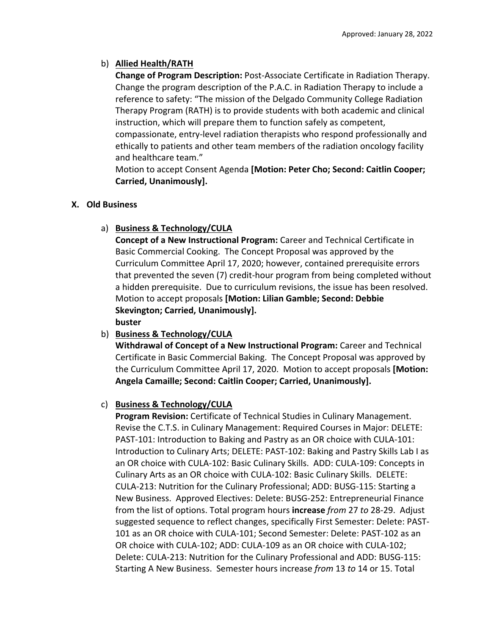# b) **Allied Health/RATH**

**Change of Program Description:** Post‐Associate Certificate in Radiation Therapy. Change the program description of the P.A.C. in Radiation Therapy to include a reference to safety: "The mission of the Delgado Community College Radiation Therapy Program (RATH) is to provide students with both academic and clinical instruction, which will prepare them to function safely as competent, compassionate, entry‐level radiation therapists who respond professionally and ethically to patients and other team members of the radiation oncology facility and healthcare team."

Motion to accept Consent Agenda **[Motion: Peter Cho; Second: Caitlin Cooper; Carried, Unanimously].**

## **X. Old Business**

# a) **Business & Technology/CULA**

**Concept of a New Instructional Program:** Career and Technical Certificate in Basic Commercial Cooking. The Concept Proposal was approved by the Curriculum Committee April 17, 2020; however, contained prerequisite errors that prevented the seven (7) credit‐hour program from being completed without a hidden prerequisite. Due to curriculum revisions, the issue has been resolved. Motion to accept proposals **[Motion: Lilian Gamble; Second: Debbie Skevington; Carried, Unanimously].**

**buster**

# b) **Business & Technology/CULA**

**Withdrawal of Concept of a New Instructional Program:** Career and Technical Certificate in Basic Commercial Baking. The Concept Proposal was approved by the Curriculum Committee April 17, 2020. Motion to accept proposals **[Motion: Angela Camaille; Second: Caitlin Cooper; Carried, Unanimously].**

# c) **Business & Technology/CULA**

**Program Revision:** Certificate of Technical Studies in Culinary Management. Revise the C.T.S. in Culinary Management: Required Courses in Major: DELETE: PAST‐101: Introduction to Baking and Pastry as an OR choice with CULA‐101: Introduction to Culinary Arts; DELETE: PAST-102: Baking and Pastry Skills Lab I as an OR choice with CULA‐102: Basic Culinary Skills. ADD: CULA‐109: Concepts in Culinary Arts as an OR choice with CULA‐102: Basic Culinary Skills. DELETE: CULA‐213: Nutrition for the Culinary Professional; ADD: BUSG‐115: Starting a New Business. Approved Electives: Delete: BUSG‐252: Entrepreneurial Finance from the list of options. Total program hours **increase** *from* 27 *to* 28‐29. Adjust suggested sequence to reflect changes, specifically First Semester: Delete: PAST‐ 101 as an OR choice with CULA‐101; Second Semester: Delete: PAST‐102 as an OR choice with CULA‐102; ADD: CULA‐109 as an OR choice with CULA‐102; Delete: CULA‐213: Nutrition for the Culinary Professional and ADD: BUSG‐115: Starting A New Business. Semester hours increase *from* 13 *to* 14 or 15. Total